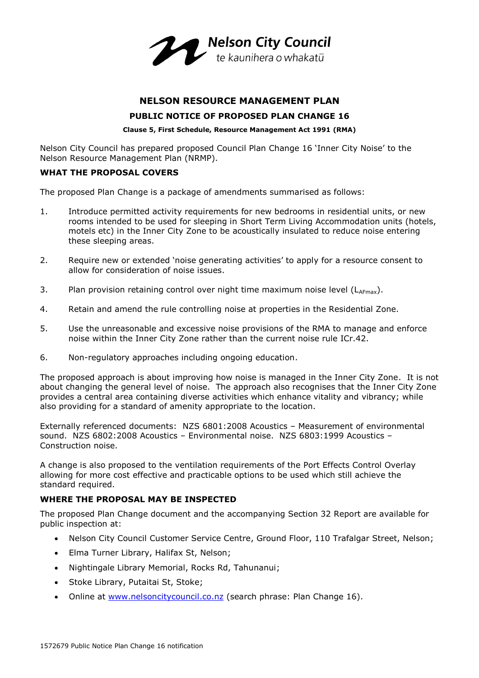

# **NELSON RESOURCE MANAGEMENT PLAN**

## **PUBLIC NOTICE OF PROPOSED PLAN CHANGE 16**

#### **Clause 5, First Schedule, Resource Management Act 1991 (RMA)**

Nelson City Council has prepared proposed Council Plan Change 16 'Inner City Noise' to the Nelson Resource Management Plan (NRMP).

# **WHAT THE PROPOSAL COVERS**

The proposed Plan Change is a package of amendments summarised as follows:

- 1. Introduce permitted activity requirements for new bedrooms in residential units, or new rooms intended to be used for sleeping in Short Term Living Accommodation units (hotels, motels etc) in the Inner City Zone to be acoustically insulated to reduce noise entering these sleeping areas.
- 2. Require new or extended 'noise generating activities' to apply for a resource consent to allow for consideration of noise issues.
- 3. Plan provision retaining control over night time maximum noise level  $(L_{A_{\text{Fmax}}})$ .
- 4. Retain and amend the rule controlling noise at properties in the Residential Zone.
- 5. Use the unreasonable and excessive noise provisions of the RMA to manage and enforce noise within the Inner City Zone rather than the current noise rule ICr.42.
- 6. Non-regulatory approaches including ongoing education.

The proposed approach is about improving how noise is managed in the Inner City Zone. It is not about changing the general level of noise. The approach also recognises that the Inner City Zone provides a central area containing diverse activities which enhance vitality and vibrancy; while also providing for a standard of amenity appropriate to the location.

Externally referenced documents: NZS 6801:2008 Acoustics – Measurement of environmental sound. NZS 6802:2008 Acoustics – Environmental noise. NZS 6803:1999 Acoustics – Construction noise.

A change is also proposed to the ventilation requirements of the Port Effects Control Overlay allowing for more cost effective and practicable options to be used which still achieve the standard required.

# **WHERE THE PROPOSAL MAY BE INSPECTED**

The proposed Plan Change document and the accompanying Section 32 Report are available for public inspection at:

- Nelson City Council Customer Service Centre, Ground Floor, 110 Trafalgar Street, Nelson;
- Elma Turner Library, Halifax St, Nelson;
- Nightingale Library Memorial, Rocks Rd, Tahunanui;
- Stoke Library, Putaitai St, Stoke;
- Online at [www.nelsoncitycouncil.co.nz](http://www.nelsoncitycouncil.co.nz/) (search phrase: Plan Change 16).